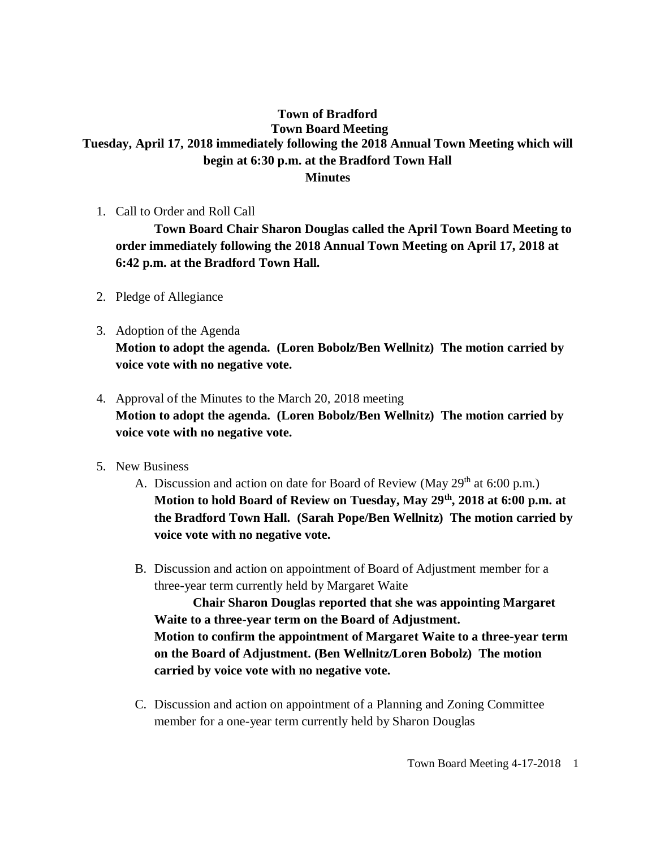## **Town of Bradford Town Board Meeting Tuesday, April 17, 2018 immediately following the 2018 Annual Town Meeting which will begin at 6:30 p.m. at the Bradford Town Hall Minutes**

1. Call to Order and Roll Call

**Town Board Chair Sharon Douglas called the April Town Board Meeting to order immediately following the 2018 Annual Town Meeting on April 17, 2018 at 6:42 p.m. at the Bradford Town Hall.**

- 2. Pledge of Allegiance
- 3. Adoption of the Agenda **Motion to adopt the agenda. (Loren Bobolz/Ben Wellnitz) The motion carried by voice vote with no negative vote.**
- 4. Approval of the Minutes to the March 20, 2018 meeting **Motion to adopt the agenda. (Loren Bobolz/Ben Wellnitz) The motion carried by voice vote with no negative vote.**
- 5. New Business
	- A. Discussion and action on date for Board of Review (May  $29<sup>th</sup>$  at 6:00 p.m.) **Motion to hold Board of Review on Tuesday, May 29th, 2018 at 6:00 p.m. at the Bradford Town Hall. (Sarah Pope/Ben Wellnitz) The motion carried by voice vote with no negative vote.**
	- B. Discussion and action on appointment of Board of Adjustment member for a three-year term currently held by Margaret Waite

**Chair Sharon Douglas reported that she was appointing Margaret Waite to a three-year term on the Board of Adjustment. Motion to confirm the appointment of Margaret Waite to a three-year term on the Board of Adjustment. (Ben Wellnitz/Loren Bobolz) The motion carried by voice vote with no negative vote.**

C. Discussion and action on appointment of a Planning and Zoning Committee member for a one-year term currently held by Sharon Douglas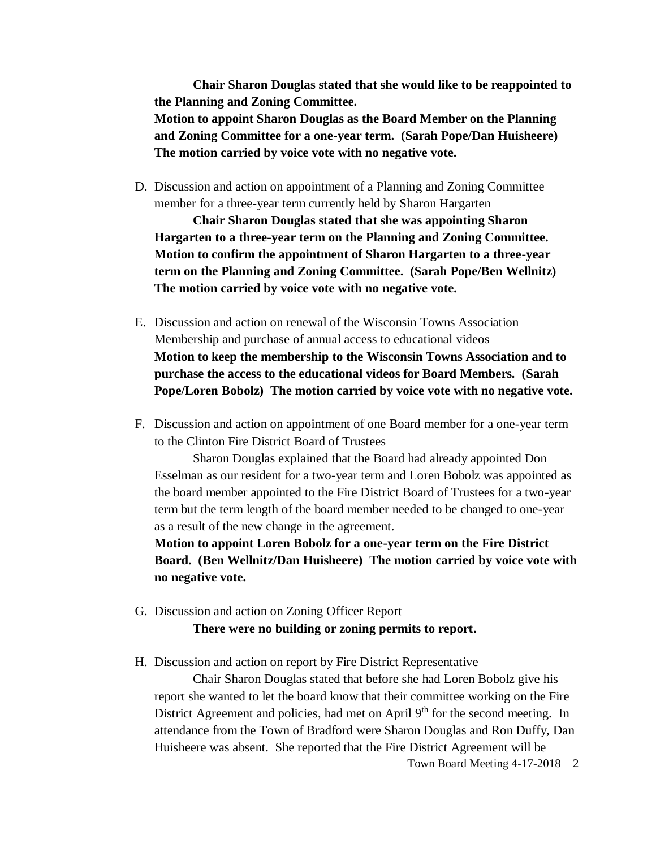**Chair Sharon Douglas stated that she would like to be reappointed to the Planning and Zoning Committee. Motion to appoint Sharon Douglas as the Board Member on the Planning and Zoning Committee for a one-year term. (Sarah Pope/Dan Huisheere) The motion carried by voice vote with no negative vote.**

D. Discussion and action on appointment of a Planning and Zoning Committee member for a three-year term currently held by Sharon Hargarten

**Chair Sharon Douglas stated that she was appointing Sharon Hargarten to a three-year term on the Planning and Zoning Committee. Motion to confirm the appointment of Sharon Hargarten to a three-year term on the Planning and Zoning Committee. (Sarah Pope/Ben Wellnitz) The motion carried by voice vote with no negative vote.**

- E. Discussion and action on renewal of the Wisconsin Towns Association Membership and purchase of annual access to educational videos **Motion to keep the membership to the Wisconsin Towns Association and to purchase the access to the educational videos for Board Members. (Sarah Pope/Loren Bobolz) The motion carried by voice vote with no negative vote.**
- F. Discussion and action on appointment of one Board member for a one-year term to the Clinton Fire District Board of Trustees

Sharon Douglas explained that the Board had already appointed Don Esselman as our resident for a two-year term and Loren Bobolz was appointed as the board member appointed to the Fire District Board of Trustees for a two-year term but the term length of the board member needed to be changed to one-year as a result of the new change in the agreement.

**Motion to appoint Loren Bobolz for a one-year term on the Fire District Board. (Ben Wellnitz/Dan Huisheere) The motion carried by voice vote with no negative vote.**

G. Discussion and action on Zoning Officer Report

**There were no building or zoning permits to report.**

H. Discussion and action on report by Fire District Representative

Chair Sharon Douglas stated that before she had Loren Bobolz give his report she wanted to let the board know that their committee working on the Fire District Agreement and policies, had met on April  $9<sup>th</sup>$  for the second meeting. In attendance from the Town of Bradford were Sharon Douglas and Ron Duffy, Dan Huisheere was absent. She reported that the Fire District Agreement will be

Town Board Meeting 4-17-2018 2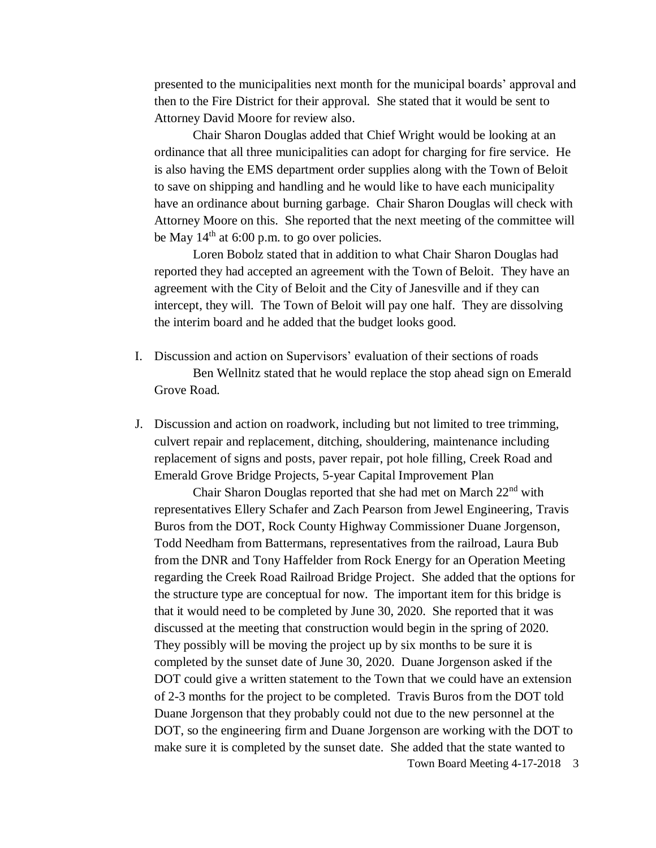presented to the municipalities next month for the municipal boards' approval and then to the Fire District for their approval. She stated that it would be sent to Attorney David Moore for review also.

Chair Sharon Douglas added that Chief Wright would be looking at an ordinance that all three municipalities can adopt for charging for fire service. He is also having the EMS department order supplies along with the Town of Beloit to save on shipping and handling and he would like to have each municipality have an ordinance about burning garbage. Chair Sharon Douglas will check with Attorney Moore on this. She reported that the next meeting of the committee will be May  $14<sup>th</sup>$  at 6:00 p.m. to go over policies.

Loren Bobolz stated that in addition to what Chair Sharon Douglas had reported they had accepted an agreement with the Town of Beloit. They have an agreement with the City of Beloit and the City of Janesville and if they can intercept, they will. The Town of Beloit will pay one half. They are dissolving the interim board and he added that the budget looks good.

- I. Discussion and action on Supervisors' evaluation of their sections of roads Ben Wellnitz stated that he would replace the stop ahead sign on Emerald Grove Road.
- J. Discussion and action on roadwork, including but not limited to tree trimming, culvert repair and replacement, ditching, shouldering, maintenance including replacement of signs and posts, paver repair, pot hole filling, Creek Road and Emerald Grove Bridge Projects, 5-year Capital Improvement Plan

Town Board Meeting 4-17-2018 3 Chair Sharon Douglas reported that she had met on March 22nd with representatives Ellery Schafer and Zach Pearson from Jewel Engineering, Travis Buros from the DOT, Rock County Highway Commissioner Duane Jorgenson, Todd Needham from Battermans, representatives from the railroad, Laura Bub from the DNR and Tony Haffelder from Rock Energy for an Operation Meeting regarding the Creek Road Railroad Bridge Project. She added that the options for the structure type are conceptual for now. The important item for this bridge is that it would need to be completed by June 30, 2020. She reported that it was discussed at the meeting that construction would begin in the spring of 2020. They possibly will be moving the project up by six months to be sure it is completed by the sunset date of June 30, 2020. Duane Jorgenson asked if the DOT could give a written statement to the Town that we could have an extension of 2-3 months for the project to be completed. Travis Buros from the DOT told Duane Jorgenson that they probably could not due to the new personnel at the DOT, so the engineering firm and Duane Jorgenson are working with the DOT to make sure it is completed by the sunset date. She added that the state wanted to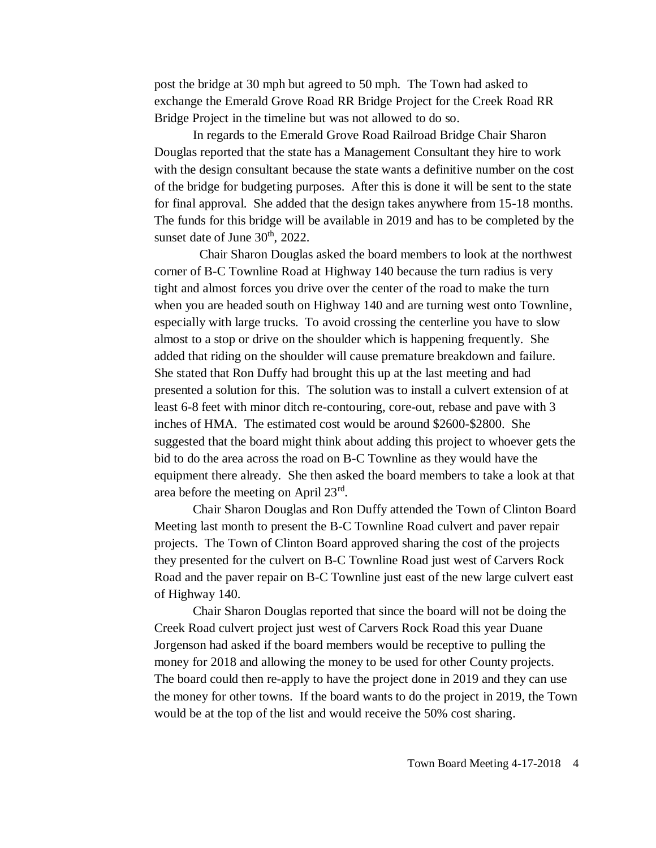post the bridge at 30 mph but agreed to 50 mph. The Town had asked to exchange the Emerald Grove Road RR Bridge Project for the Creek Road RR Bridge Project in the timeline but was not allowed to do so.

In regards to the Emerald Grove Road Railroad Bridge Chair Sharon Douglas reported that the state has a Management Consultant they hire to work with the design consultant because the state wants a definitive number on the cost of the bridge for budgeting purposes. After this is done it will be sent to the state for final approval. She added that the design takes anywhere from 15-18 months. The funds for this bridge will be available in 2019 and has to be completed by the sunset date of June  $30<sup>th</sup>$ , 2022.

 Chair Sharon Douglas asked the board members to look at the northwest corner of B-C Townline Road at Highway 140 because the turn radius is very tight and almost forces you drive over the center of the road to make the turn when you are headed south on Highway 140 and are turning west onto Townline, especially with large trucks. To avoid crossing the centerline you have to slow almost to a stop or drive on the shoulder which is happening frequently. She added that riding on the shoulder will cause premature breakdown and failure. She stated that Ron Duffy had brought this up at the last meeting and had presented a solution for this. The solution was to install a culvert extension of at least 6-8 feet with minor ditch re-contouring, core-out, rebase and pave with 3 inches of HMA. The estimated cost would be around \$2600-\$2800. She suggested that the board might think about adding this project to whoever gets the bid to do the area across the road on B-C Townline as they would have the equipment there already. She then asked the board members to take a look at that area before the meeting on April 23rd.

Chair Sharon Douglas and Ron Duffy attended the Town of Clinton Board Meeting last month to present the B-C Townline Road culvert and paver repair projects. The Town of Clinton Board approved sharing the cost of the projects they presented for the culvert on B-C Townline Road just west of Carvers Rock Road and the paver repair on B-C Townline just east of the new large culvert east of Highway 140.

Chair Sharon Douglas reported that since the board will not be doing the Creek Road culvert project just west of Carvers Rock Road this year Duane Jorgenson had asked if the board members would be receptive to pulling the money for 2018 and allowing the money to be used for other County projects. The board could then re-apply to have the project done in 2019 and they can use the money for other towns. If the board wants to do the project in 2019, the Town would be at the top of the list and would receive the 50% cost sharing.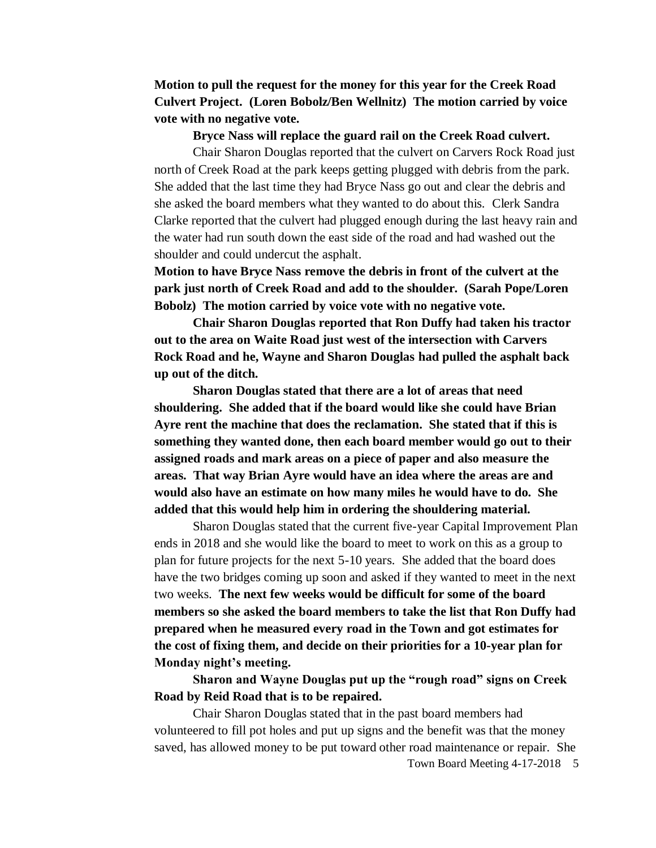**Motion to pull the request for the money for this year for the Creek Road Culvert Project. (Loren Bobolz/Ben Wellnitz) The motion carried by voice vote with no negative vote.**

**Bryce Nass will replace the guard rail on the Creek Road culvert.**

Chair Sharon Douglas reported that the culvert on Carvers Rock Road just north of Creek Road at the park keeps getting plugged with debris from the park. She added that the last time they had Bryce Nass go out and clear the debris and she asked the board members what they wanted to do about this. Clerk Sandra Clarke reported that the culvert had plugged enough during the last heavy rain and the water had run south down the east side of the road and had washed out the shoulder and could undercut the asphalt.

**Motion to have Bryce Nass remove the debris in front of the culvert at the park just north of Creek Road and add to the shoulder. (Sarah Pope/Loren Bobolz) The motion carried by voice vote with no negative vote.** 

**Chair Sharon Douglas reported that Ron Duffy had taken his tractor out to the area on Waite Road just west of the intersection with Carvers Rock Road and he, Wayne and Sharon Douglas had pulled the asphalt back up out of the ditch.**

**Sharon Douglas stated that there are a lot of areas that need shouldering. She added that if the board would like she could have Brian Ayre rent the machine that does the reclamation. She stated that if this is something they wanted done, then each board member would go out to their assigned roads and mark areas on a piece of paper and also measure the areas. That way Brian Ayre would have an idea where the areas are and would also have an estimate on how many miles he would have to do. She added that this would help him in ordering the shouldering material.**

Sharon Douglas stated that the current five-year Capital Improvement Plan ends in 2018 and she would like the board to meet to work on this as a group to plan for future projects for the next 5-10 years. She added that the board does have the two bridges coming up soon and asked if they wanted to meet in the next two weeks. **The next few weeks would be difficult for some of the board members so she asked the board members to take the list that Ron Duffy had prepared when he measured every road in the Town and got estimates for the cost of fixing them, and decide on their priorities for a 10-year plan for Monday night's meeting.** 

**Sharon and Wayne Douglas put up the "rough road" signs on Creek Road by Reid Road that is to be repaired.**

Town Board Meeting 4-17-2018 5 Chair Sharon Douglas stated that in the past board members had volunteered to fill pot holes and put up signs and the benefit was that the money saved, has allowed money to be put toward other road maintenance or repair. She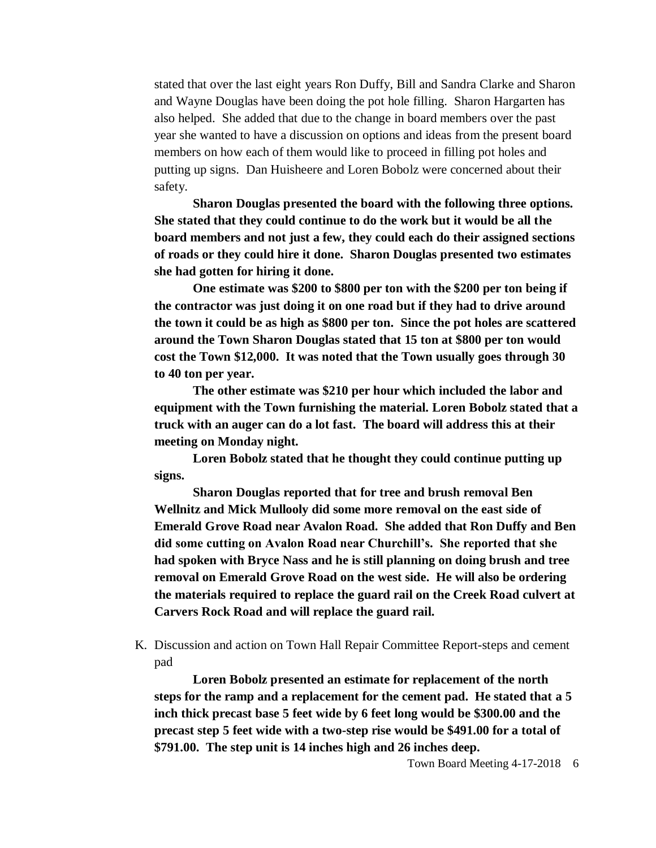stated that over the last eight years Ron Duffy, Bill and Sandra Clarke and Sharon and Wayne Douglas have been doing the pot hole filling. Sharon Hargarten has also helped. She added that due to the change in board members over the past year she wanted to have a discussion on options and ideas from the present board members on how each of them would like to proceed in filling pot holes and putting up signs. Dan Huisheere and Loren Bobolz were concerned about their safety.

**Sharon Douglas presented the board with the following three options. She stated that they could continue to do the work but it would be all the board members and not just a few, they could each do their assigned sections of roads or they could hire it done. Sharon Douglas presented two estimates she had gotten for hiring it done.** 

**One estimate was \$200 to \$800 per ton with the \$200 per ton being if the contractor was just doing it on one road but if they had to drive around the town it could be as high as \$800 per ton. Since the pot holes are scattered around the Town Sharon Douglas stated that 15 ton at \$800 per ton would cost the Town \$12,000. It was noted that the Town usually goes through 30 to 40 ton per year.** 

**The other estimate was \$210 per hour which included the labor and equipment with the Town furnishing the material. Loren Bobolz stated that a truck with an auger can do a lot fast. The board will address this at their meeting on Monday night.** 

**Loren Bobolz stated that he thought they could continue putting up signs.**

**Sharon Douglas reported that for tree and brush removal Ben Wellnitz and Mick Mullooly did some more removal on the east side of Emerald Grove Road near Avalon Road. She added that Ron Duffy and Ben did some cutting on Avalon Road near Churchill's. She reported that she had spoken with Bryce Nass and he is still planning on doing brush and tree removal on Emerald Grove Road on the west side. He will also be ordering the materials required to replace the guard rail on the Creek Road culvert at Carvers Rock Road and will replace the guard rail.**

K. Discussion and action on Town Hall Repair Committee Report-steps and cement pad

**Loren Bobolz presented an estimate for replacement of the north steps for the ramp and a replacement for the cement pad. He stated that a 5 inch thick precast base 5 feet wide by 6 feet long would be \$300.00 and the precast step 5 feet wide with a two-step rise would be \$491.00 for a total of \$791.00. The step unit is 14 inches high and 26 inches deep.**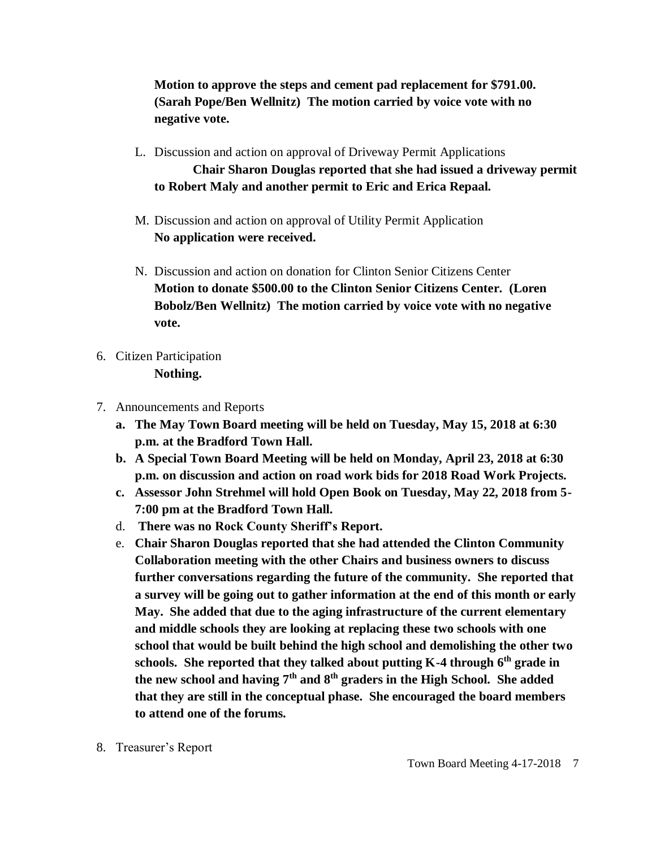**Motion to approve the steps and cement pad replacement for \$791.00. (Sarah Pope/Ben Wellnitz) The motion carried by voice vote with no negative vote.**

- L. Discussion and action on approval of Driveway Permit Applications **Chair Sharon Douglas reported that she had issued a driveway permit to Robert Maly and another permit to Eric and Erica Repaal.**
- M. Discussion and action on approval of Utility Permit Application **No application were received.**
- N. Discussion and action on donation for Clinton Senior Citizens Center **Motion to donate \$500.00 to the Clinton Senior Citizens Center. (Loren Bobolz/Ben Wellnitz) The motion carried by voice vote with no negative vote.**
- 6. Citizen Participation **Nothing.**
- 7. Announcements and Reports
	- **a. The May Town Board meeting will be held on Tuesday, May 15, 2018 at 6:30 p.m. at the Bradford Town Hall.**
	- **b. A Special Town Board Meeting will be held on Monday, April 23, 2018 at 6:30 p.m. on discussion and action on road work bids for 2018 Road Work Projects.**
	- **c. Assessor John Strehmel will hold Open Book on Tuesday, May 22, 2018 from 5- 7:00 pm at the Bradford Town Hall.**
	- d. **There was no Rock County Sheriff's Report.**
	- e. **Chair Sharon Douglas reported that she had attended the Clinton Community Collaboration meeting with the other Chairs and business owners to discuss further conversations regarding the future of the community. She reported that a survey will be going out to gather information at the end of this month or early May. She added that due to the aging infrastructure of the current elementary and middle schools they are looking at replacing these two schools with one school that would be built behind the high school and demolishing the other two schools. She reported that they talked about putting K-4 through 6th grade in the new school and having 7th and 8th graders in the High School. She added that they are still in the conceptual phase. She encouraged the board members to attend one of the forums.**
- 8. Treasurer's Report